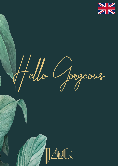

Hello Gorgeous

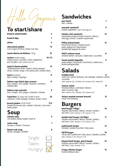#### **To start/share**

| bread & salted butter                                                                                                                | 5    |
|--------------------------------------------------------------------------------------------------------------------------------------|------|
| bread & dips                                                                                                                         | 7    |
| olives                                                                                                                               | 5    |
| charcuterie platter<br>Livar Coppa di Parma   dried Livar ham                                                                        | 13   |
| <b>Jamón Ibérico de Bellota   70 gr.</b>                                                                                             | 15   |
| <b>nachos</b> (small or large)<br>10   15<br>cheese sauce   avocado   olives   jalapeños  <br>pico de gallo   add: pulled pork (3)   |      |
| meat & cheese platter<br>"Rotterdamsche Oude" cheese   dried sausage  <br>olives   chicken wings   mini spring rolls   cheese sticks | 15   |
| taco's (2 pieces)<br>beef   chicken   toppings                                                                                       | 11   |
| lettuce cups black tiger prawns<br>lime   mango   chili   ginger   sesame   coriander  <br>cashewnoten                               | 11   |
| lettuce cups avocado<br>lime   mango   chili   ginger   coriander   furikake                                                         | 9    |
| l'aperitivo Tip: enjoy with a bottle of wine!<br>carpaccio   dried sausage   cheese   bread   olives                                 | 25   |
| <b>brunch platter</b> $(12:00-16:00)$<br>toasted farmhouse club   sweets   Granola   Livar ham  <br>sweet potato                     | 17.5 |
| Soup                                                                                                                                 |      |
| tomato soep<br>mini grilled cheese toastie   basil oil                                                                               | 9    |
| onion soup<br>Gruyère   chicken   Croutons                                                                                           | 7    |
| <b>Beach crab soup</b><br>fennel   tarragon   shellfish                                                                              | 8    |
| Single.                                                                                                                              |      |
| Taken.                                                                                                                               |      |

Hungry!

## **Sandwiches**

| pan toasti<br>ham   cheese                                                                                                            | 7  |
|---------------------------------------------------------------------------------------------------------------------------------------|----|
| avocado sandwich<br>pickled vegetables   add: fried egg (2)                                                                           | 9  |
| chicken club sandwich<br>homemade smoked chicken & bacon   lettuce  <br>fried egg   tomato   chipotle mayonnaise                      | 13 |
| <b>Philly cheesesteak</b><br>thinly sliced rib-eye   cheese sauce  <br>green peppercorn mayonnaise  <br>sautéed bell peppers & onions | 12 |
| JAQ'S salmon toast<br>smoked salmon   avocado   watercress   cucumber                                                                 | 11 |
| <b>Sweet potato baguette</b><br>sweet potato   King oyster muchrooms   sweet sour  <br>Kurkuma-Mayonnaise                             | 9  |
| <b>Salads</b>                                                                                                                         |    |
| buddha bowl<br>sushi rice   peanut dressing   red cabbage   wakame   lentils  <br>cucumber                                            | 11 |

*add: salmon (4) | chicken (4) | prawns (5) | steak (6)*

| Caesar salad<br>Romaine lettuce   parmesan cheese  <br>garlic croutons   egg<br>add: salmon $(4)$   chicken $(4)$   prawns $(5)$                   | 11 |
|----------------------------------------------------------------------------------------------------------------------------------------------------|----|
| Hoisin roasted sesame broccoli<br>lemon-mint dressing                                                                                              | 12 |
| <b>Burgers</b><br>beef burger (120gr)<br>chipotle mayonnaise   lettuce   tomato   pickles  <br>red onion $ $ add: cheese $(1.5)$ $ $ bacon $(1.5)$ | 14 |
| double beef burger (2x120gr)<br>chipotle mayonnaise   lettuce   tomato   pickles  <br>red onion $ $ add: cheese $(1.5)$ $ $ bacon $(1.5)$          | 17 |
| pulled pork burger<br>coleslaw   pickled cucumber   bbq sauce                                                                                      | 13 |
| 50/50 burger<br>120 gr beef   pulled pork   bbq sauce   coleslaw   pickles<br>add: cheese (1.5)   bacon (1.5)                                      | 14 |
| beyond beef burger, plant based<br>chipotle mayonnaise   lettuce   tomato   pickles  <br>red onion $ $ add: cheese (1.5)                           | 14 |
| <b>Crispy chicken burger</b>                                                                                                                       | 13 |

Kurkuma-Mayonnaise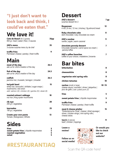#### **"I just don't want to look back and think, I could've eaten that."**

#### **We love it!**

| <b>Cote de Boeuf</b> (for 2 guests)<br>800 gr. meat   salad   fries   3 sauces                                                                                | 35pp |
|---------------------------------------------------------------------------------------------------------------------------------------------------------------|------|
| <b>JAQ's menu</b><br>3-course surprise menu by de chef                                                                                                        | 35   |
| truffle fries<br>Parmesan cheese   parsley   fresh truffle                                                                                                    | 9    |
| <b>Main</b>                                                                                                                                                   |      |
| meat of the day<br>ask us for JAQ's creation of the day                                                                                                       | 26.5 |
| fish of the day<br>ask us for JAQ's creation of the day                                                                                                       | 24.5 |
| codfish<br>jasmine rice   mussels   tarragon   chowder                                                                                                        | 26.5 |
| teriyaki bowl<br>white rice   broccolini   shiitake   sugar snaps  <br>mushrooms   red onion<br>add: salmon $(4)$   chicken $(4)$   gamba $(5)$   steak $(6)$ | 15   |
| roasted oxheart cabbage<br>nut rice   King oyster muchrooms                                                                                                   | 18   |
| rib-eye<br>250 gr   vegetables                                                                                                                                | 28   |
| tournedos<br>180 gr   vegetables                                                                                                                              | 25   |
| Create your own pasta<br>Tomato   Bolognaise   Alfredo                                                                                                        | 13   |
| <b>Sides</b>                                                                                                                                                  |      |

| fries<br>sweet potato fries   chipotle mayonnaise<br>roasted vegetables<br>salad |  |
|----------------------------------------------------------------------------------|--|
|----------------------------------------------------------------------------------|--|

## **#RESTAURANTJAQ**

### **Dessert**

| <b>JAQ's dessert</b><br>surprise dessert for 2                                                   | 7 pp    |
|--------------------------------------------------------------------------------------------------|---------|
| <b>Reypenaer</b><br>4 mo   8 mo   12 mo   chutney   fig-almond bread                             | 12      |
| <b>Ruby chocolate cake</b><br>dark chocolate   ruby chocolate ice cream                          | 8       |
| <b>JAQ's sundae</b><br>vanilla   apple   warm caramel                                            | 9       |
| chocolate parsnip dessert<br>Chocolate Ganache   carrot spice ice cream  <br>parsnip toffee      | 7       |
| <b>JAQ's coffee favorites</b><br>coffee of your choice   madeleine   brownie                     | 7       |
| <b>Bar bites</b>                                                                                 |         |
| bitterballen                                                                                     | 8       |
| cheesesticks                                                                                     | 8       |
| vegetarian mini spring rolls                                                                     | 8       |
| chicken tatsutas                                                                                 | 10      |
| <b>nachos</b> (small or large)<br>cheese sauce   avocado   olives   jalapeños  <br>$\frac{1}{2}$ | 10   15 |

pico de gallo | *add: pulled pork (3)* fries 5 sweet potato fries | chipotle mayonnaise 5 truffle fries 9 Parmesan cheese | parsley | fresh truffle meat & cheese platter 15 "Rotterdamsche Oude" cheese | dried sausage |

olives | chicken wings | mini spring rolls | cheese sticks

taco's (2 pieces) 11 beef | chicken | toppings

**Leave a review!**



**Or would you like to check out our website?**

**Follow us on social media!**

Scan the QR-code here!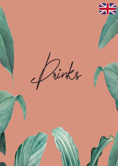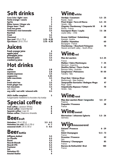## **Soft drinks**

| Coca Cola   light   zero          | 3             |
|-----------------------------------|---------------|
| Fanta orange   cassis             | 3             |
| <b>Sprite</b>                     |               |
| <b>Bitter lemon   Ginger ale</b>  | $\frac{3}{3}$ |
| <b>Ginger beer   Tonic</b>        | 3.5           |
| <b>Fuze tea green</b>             | 3.5           |
| <b>Fentimans rosé lemonade</b>    | 3.5           |
| <b>Red Bull</b>                   | 5             |
| <b>Fristi</b>                     | 3.5           |
| <b>Chocomel</b>                   | 3.5           |
| <b>Spa rood</b> $ 25$ cl $ 75$ cl | $2.75 - 6.25$ |
| Spa blauw $ 25$ cl $ 75$ cl       | $2.75 - 6.25$ |
|                                   |               |

## **Juices**

| fresh orange juice |     |
|--------------------|-----|
| apple juice        | 3.5 |
| pineapple juice    | 3.5 |
| tomato juice       | 3.5 |
| cranberry juice    | 3.5 |

## **Hot drinks**

| coffee                            | 2.8  |
|-----------------------------------|------|
| espresso                          | 2.8  |
| double espresso                   | 3.5  |
| cappuccino                        | 3.25 |
| latte macchiato                   | 3.5  |
| tea                               | 3    |
| fresh mint tea                    | 3.5  |
| fresh ginger tea                  | 3.5  |
| hot chocolate                     | 3.5  |
| with cream                        | 4    |
| soy milk   oat milk   almond milk | 0.5  |
|                                   |      |

JAQ's koffie compleet 5 huisgemaakte madeleine & chocolate chip koekje

## **Special coffee**

|                                  | <b>Irish coffee</b>   Jameson Whisky       |  |
|----------------------------------|--------------------------------------------|--|
|                                  | <b>French coffee</b>   Grand Marnier       |  |
| <b>Spanish coffee   Ligor 43</b> |                                            |  |
|                                  | <b>Italian coffee   Disaronno Amaretto</b> |  |

#### **Beerdraft**

| <b>Heineken</b> $ 25$ cl $ 50$ cl | $3.5 - 6.5$ |
|-----------------------------------|-------------|
| Heineken ice cold   25 cl   50 cl | 4 - 7       |
| seasonal draft $ 25$ cl $ 50$ cl  | $5 - 8.5$   |

#### **Beerbottle**

| <b>Affligem dubbel</b> | 5.5 |
|------------------------|-----|
| <b>La Chouffe</b>      | 6.5 |
| <b>Duvel</b>           | 5.5 |
| <b>Noordt Blondt</b>   | 6.5 |
| <b>Noordt IPA</b>      | 6.5 |
| <b>Paulaner</b>        | 5.5 |
| Sol                    | 6.5 |
| <b>Heineken 0%</b>     | з   |
| <b>Amstel Radler</b>   |     |

## **Winewhite**

| <b>Verdejo   Casamaro</b><br>Rueda - Spain                                       | $5.5 - 25$ |
|----------------------------------------------------------------------------------|------------|
| <b>Pinot Grigio   Terre di Marca</b><br>Veneto - Italy                           | $6.5 - 33$ |
| <b>Viognier Chardonnay   Cinquante 50</b><br>Rhône - France                      | 8 - 38     |
| <b>Sauvignon Blanc   Leyda</b><br>Leyda valley - Chile                           | $7.5 - 38$ |
| <b>Gruner Veltliner   Gobelsberg</b>                                             | 48         |
| Kamptal - Austria<br><b>Chablis   Hamelien</b><br>Bourgogne - France             | 60         |
| <b>Chardonnay   Bouchard Finlayson</b><br>Heaven and earth valley - South-Africa | 70         |

## **Winered**

| <b>Mas de Lauriers</b>                                                                                                                                                                       | $5.5 - 25$                      |
|----------------------------------------------------------------------------------------------------------------------------------------------------------------------------------------------|---------------------------------|
| France<br><b>Malbec   Fabre Montmayou</b><br>Mendoza - Argentina<br><b>Shotfire Shiraz   Thorn-Clarke</b><br>Barossa Valley - Australia<br><b>Sangiovese   Pietranera</b><br>Tuscany - Italy | 7 - 35<br>$9 - 42$<br>$10 - 50$ |
| <b>Pinot Noir   Wairau River</b>                                                                                                                                                             | 48                              |
| Marlborough - New Zealand<br><b>Tempranillo Garnacha   Bodegas Muga</b>                                                                                                                      | 67                              |
| Rioja - Spain<br>Valpolicella Ripasso I Fattori<br>Veneto - Italy                                                                                                                            | 70                              |

#### **Winerosé**

| Mas des Lauriers Rosé   languedoc    | $5.5 - 27$ |
|--------------------------------------|------------|
| Fraance                              |            |
| <b>Paquette   Provence</b><br>France | 38         |
|                                      |            |

**Wine** sweet

| <b>Niertseiner   Johannes Egberts</b> | $5.5 - 26$ |  |
|---------------------------------------|------------|--|
| Germany                               |            |  |

## **Wijnmousserend**

| <b>Galanti   Prosecco</b><br>Italy<br><b>Delot Champagne</b><br>France | $6 - 29$    |  |
|------------------------------------------------------------------------|-------------|--|
|                                                                        | $12.5 - 72$ |  |
| <b>Drussian   Prosecco</b><br>Italy                                    | 42          |  |
| <b>Pommery   Champagne</b>                                             | 85          |  |
| France<br><b>Barons de Rothschild   Brut</b><br>France                 | 180         |  |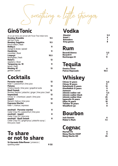Something a little stronger

#### **Gin&Tonic**

| all our gin tonics are served with Fever-Tree Indian tonic<br><b>Bombay Bramble</b><br>red fruit $\bar{ }$ fruity | 9.5  |
|-------------------------------------------------------------------------------------------------------------------|------|
| <b>Bombay Sapphire</b>                                                                                            | 9.5  |
| lime & melon   fresh                                                                                              |      |
| <b>Bobby's</b>                                                                                                    | 11   |
| orange & cloves   spiced                                                                                          |      |
| <b>Hendricks</b>                                                                                                  | 11   |
| cucumber   floral                                                                                                 |      |
| Loopuyt                                                                                                           | 10.5 |
| lemongrass   fresh                                                                                                |      |
| Nolet's                                                                                                           | 12   |
| raspberry   floral                                                                                                |      |
| <b>Tanqueray no. 10</b>                                                                                           | 11   |
| lemon   fresh                                                                                                     |      |
| <b>Monkey 47</b>                                                                                                  | 13   |
| gember spiced                                                                                                     |      |

#### **Cocktails**

| Pornstar martini<br>Ketel 1   passionfruit   lime juice                      | 12 |
|------------------------------------------------------------------------------|----|
| Paloma                                                                       | 12 |
| Omelca tequila   lime juice   grapefruit soda<br>Basil Smash                 | 12 |
| Bombay Saphire   pistachio   ginger   lime juice   basil<br><b>Impeached</b> | 12 |
| Chivas 12   Drambuie   peach   lime juice                                    |    |
| Jaquiri<br>Bacardi   Italicus   lime juice                                   | 12 |
| <b>Espresso Martini</b>                                                      | 12 |
| Ketel 1   Kahlua   espresso                                                  |    |
| mocktail - Pornstar martini<br>Ceder Crisp 0%   passionfruit   lime juice    | 8  |
| mocktail - Jaquiri                                                           | 8  |
| Ceder Crisp 0%   lime juice<br>mocktail - Basil Smash                        | 8  |
| Ceder Crisp 0%   gingersyrup   pistachio syrup  <br>lime juice   basil       |    |

#### **To share or not to share**

St-Germain Elderflower | prosecco | sparkling water **9 |32** 

## **Vodka**

| <b>Absolut</b>    | 5,5 |
|-------------------|-----|
| Ketel 1           | 6   |
| <b>Belvedere</b>  |     |
| <b>Grey goose</b> | 8   |

## **Rum**

| Bacardi blanca | 5,5 |
|----------------|-----|
| Bacardi 8      |     |
| RonZacapa 23   |     |

## **Tequila**

| <b>Omelca Silver</b>   |      |
|------------------------|------|
| <b>Patron Reposado</b> | 10.5 |

## **Whiskey**

| <b>Chivas 12 years</b>      | 6,5 |
|-----------------------------|-----|
| <b>Chivas 18 years</b>      | 11  |
| <b>Dalwhinnie 15 years</b>  | 12  |
| <b>Glenfiddich 12 years</b> | 9   |
| <b>Jameson</b>              | 6   |
| Johnnie walker red          | 5,5 |
| Johnnie walker black        | 8   |
| Johnnie walker blue         | 25  |
| lagavulin 16 years          | 12  |
| <b>Oban 14 years</b>        | 10  |
| <b>Talisker 10 years</b>    | 9   |
| <b>Woodford rye</b>         | 8   |
|                             |     |

# **Bourbon**

| Jack Daniels        |     |
|---------------------|-----|
| <b>Maker's Mark</b> | 7.5 |

# **Cognac**<br>
Martell Vs<br>
Rémy Martin VSOP

| <b>Martell VS</b>       |    |
|-------------------------|----|
| <b>Rémy Martin VSOP</b> |    |
| <b>Rémy Martin XO</b>   | 25 |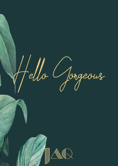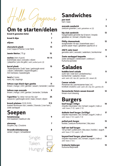**Om te starten/delen**

| brood & gezouten boter                                                                                                                     | 5     |
|--------------------------------------------------------------------------------------------------------------------------------------------|-------|
| brood & dips                                                                                                                               | 7     |
| olijven                                                                                                                                    | 5     |
| charcuterie plank<br>Livar Coppa di Parma   Livar Sjink                                                                                    | 13    |
| Jamón Ibérico   70 gr.                                                                                                                     | 15    |
| <b>nachos</b> (klein of groot)<br>boerenkaas saus   avocado   olijven<br>  jalapeños   pico de gallo   add: pulled pork (3)                | 10 15 |
| borrel plank<br>"Rotterdamsche Oude" kaas   gedroogde worst<br>  olijven   bitterballen   kippenvleugels  <br>mini loempias   kaasstengels | 15    |
| taco's (2 stuks)<br>rund   kip   toppings                                                                                                  | 11    |
| lettuce cups black tiger gamba<br>limoen   mango   chili   gember   sesam   koriander   cashew                                             | 11    |
| lettuce cups avocado<br>limoen   mango   chili   gember   koriander   furikake                                                             | 9     |
| l'aperitivo Tip: lekker met een fles wijn!<br>carpaccio   gedroogde worst   kaas   brood   olijven                                         | 25    |
| <b>brunch plateau</b> $(12:00-16:00)$<br>toasted farmhouse club   sweets   Granola   Livar ham  <br>zoete aardappel                        | 17.5  |
| <b>Soepen</b>                                                                                                                              |       |
| tomatensoep<br>mini kaastosti   basilicum olie                                                                                             | 9     |
| uiensoep<br>Gruyère   kip   Croutons                                                                                                       | 7     |
| <b>Strandkrabbetjessoep</b><br>venkel   dragon   schaaldieren                                                                              | 8     |
| Single.                                                                                                                                    |       |
| Taken.                                                                                                                                     |       |

Hungry!

#### **Sandwiches**

| <b>Sandwiches</b>                                                                                                                                                   |    |
|---------------------------------------------------------------------------------------------------------------------------------------------------------------------|----|
| pan tosti<br>ham   kaas                                                                                                                                             | 7  |
| avocado sandwich<br>zoetzure groenten   add: gebakken ei (2)                                                                                                        | 9  |
| kip club sandwich<br>huisgemaakte gerookte kip & bacon   kropsla<br>gebakken ei   tomaat   chipotle mayo                                                            | 13 |
| <b>Philly cheesesteak</b><br>dungesneden rib-eye   boerenkaas saus  <br>groene peper mayo   gebakken paprika en ui                                                  | 12 |
| <b>JAQ'S zalm toast</b><br>gerookte zalm   avocado   waterkers   komkommer                                                                                          | 11 |
| <b>Zoete aardappel baquette</b><br>zoete aardappel   oesterzwam   zoetzuur  <br>Kurkuma-ayonaise                                                                    | 9  |
| <b>Salades</b><br>buddha bowl salade<br>sushi rijst   rode kool   pindadressing  <br>komkommer   wakame   linzen<br>add: zalm (4)   kip (4)   gamba (5)   steak (6) | 11 |
| Caesar salade<br>Romeinse sla   parmezaanse kaas   ei  <br>knoflook croutons $ $ add: zalm $(4)$ $ $ kip $(4)$ $ $ gamba $(5)$                                      | 11 |
| Geroosterde Hoisin sesam broccoli<br>limoen-munt dressing                                                                                                           | 12 |
| <b>Burgers</b><br>beef burger (120gr)<br>chipotle mayonaise   sla   tomaat   augurk   rode ui<br>add: kaas (1.5)   spek (1.5)                                       | 14 |
| dubbele beef burger (2x120gr)<br>chipotle mayonaise   sla   tomaat   augurk   rode ui<br>add: kaas (1.5)   spek (1.5)                                               | 17 |
| pulled pork burger<br>koolsla   zoetzure komkommer   bbq saus                                                                                                       | 13 |
| half-om-half burger<br>120 gr beef   pulled pork   bbq saus   koolsla   augurk<br>add: kaas (1.5)   spek (1.5)                                                      | 14 |
| beyond beef burger, plant based<br>chipotle mayonaise   sla   tomaat   augurk   rode ui<br>add: kaas (1.5)                                                          | 14 |

krokante kipburger 13 Kurkuma-Mayonaise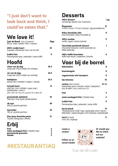#### **"I just don't want to look back and think, I could've eaten that."**

#### **We love it!**

| Cote de Boeuf (voor 2 personen)<br>800 gr. vlees   salade   friet   3 sauzen                                                               | 35pp             |
|--------------------------------------------------------------------------------------------------------------------------------------------|------------------|
| <b>JAQ's rondje kaart</b><br>3-gangen verrassings menu van de chef                                                                         | 35               |
| truffel friet<br>Parmezaanse kaas   peterselie   verse truffel                                                                             | 9                |
| <b>Hoofd</b>                                                                                                                               |                  |
| vlees van de dag<br>vraag naar JAQ's creatie van vandaag                                                                                   | 26.5             |
| vis van de dag<br>vraag naar JAQ's creatie van vandaag                                                                                     | 24.5             |
| kabeljauw<br>jasmijn rijst   mosselen   dragon   vissoep                                                                                   | 26.5             |
| teriyaki bowl<br>witte rijst   bimi   shiitake   sugar snap  <br>paddestoelen   rode ui<br>add: zalm (4)   kip (4)   gamba (5)   steak (6) | 15               |
| geroosterde spitskool<br>notenrijst   King oyster paddenstoelen                                                                            | 18               |
| rib-eye<br>250 gr   groente garnituur                                                                                                      | 28               |
| tournedos<br>180 gr   groente garnituur                                                                                                    | 25               |
| Kies jouw favoriete pasta<br>Tomaat   Bolognaise   Alfredo                                                                                 | 13               |
| Erbij                                                                                                                                      |                  |
| friet<br>zoete aardappel friet   chipotle mayo<br>geroosterde groenten<br>salade                                                           | 5<br>5<br>5<br>5 |

## **#RESTAURANTJAQ**

#### **Desserts**

| P C J J C I 4 J                                                                                                                         |      |
|-----------------------------------------------------------------------------------------------------------------------------------------|------|
| <b>JAQ's dessert</b><br>verrassings dessert voor 2 personen                                                                             | 7 pp |
| <b>Reypenaer</b><br>4 mnd   8 mnd   12 mnd   chutney   vijg-amandelbrood                                                                | 12   |
| <b>Ruby chocolade cake</b><br>pure chocolade   Ruby chocolade ijs                                                                       | 8    |
| <b>JAQ's sundae</b><br>vanille   appel   warme karamel                                                                                  | 9    |
| <b>Chocolade pastinaak desssrt</b><br>Chocolade Ganache   wortel specerijen ijs  <br>toffee pastinaak                                   | 7    |
| <b>JAQ's koffie fovorieten</b><br>koffie naar keuze   madeleine   brownie                                                               | 6    |
| Voor bij de borrel                                                                                                                      |      |
| bitterballen                                                                                                                            | 8    |
| kaasstengels                                                                                                                            | 8    |
| vegetarische mini loempia's                                                                                                             | 8    |
| kip tatsutas                                                                                                                            | 10   |
| <b>nachos</b> (klein of groot)<br>10   15<br>boerenkaas saus   avocado   olijven   jalapeños  <br>pico de gallo   add: pulled pork (3)  |      |
| friet                                                                                                                                   | 5    |
| zoete aardappel friet   chipotle mayo                                                                                                   | 5    |
| truffel friet<br>Parmezaanse kaas   peterselie   verse truffel                                                                          | 9    |
| borrel plank<br>"Rotterdamsche Oude" kaas   gedroogde worst   olijven  <br>bitterballen   kippenvleugels   mini loempias   kaasstengels | 15   |
| taco's (2 stuks)<br>rund   kip   toppings                                                                                               | 11   |

**Leave a review!**



**Or would you like to check out our website?**

**Follow us on social media!**

Scan de QR-code!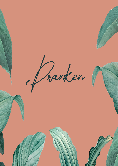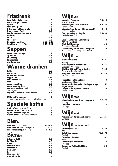## **Frisdrank**

| Coca Cola   light   zero         |               |
|----------------------------------|---------------|
| <b>Fanta orange   cassis</b>     | 3             |
| <b>Sprite</b>                    | 3             |
| <b>Fuze tea   green</b>          | 3.5           |
| <b>Bitter lemon   Ginger ale</b> | 3             |
| <b>Ginger beer   Tonic</b>       | 3.5           |
| <b>Fentimans rosé lemonade</b>   | 3.5           |
| <b>Red Bull</b>                  | 5             |
| <b>Fristi</b>                    | 3.5           |
| <b>Chocomel</b>                  | 3.5           |
| <b>Spa rood</b>   25 cl   75 cl  | $2.75 - 6.25$ |
| Spa blauw $ 25$ cl $ 75$ cl      | $2.75 - 6.25$ |

## **Sappen**

| verse jus d' orange |                  |
|---------------------|------------------|
| appelsap            | 3.5 <sub>1</sub> |
| ananassap           | 3.5 <sub>1</sub> |
| tomatensap          | 3.5 <sub>1</sub> |
| cranberry sap       | 3.5 <sub>1</sub> |

#### **Warme dranken**

| koffie                            | 2.8  |
|-----------------------------------|------|
| espresso                          | 2.8  |
| dubbele espresso                  | 3.5  |
| cappuccino                        | 3.25 |
| latte macchiato                   | 3.5  |
| thee                              | 3    |
| verse munt thee                   | 3.5  |
| verse gember thee                 | 3.5  |
| warme chocolade melk              | 3.5  |
| met slagroom                      | 4    |
| soy milk   oat milk   almond milk | 0.5  |
| <b>IAO's liaffinished and</b>     |      |

| JAQ's koffie compleet                          |  |
|------------------------------------------------|--|
| huisgemaakte madeleine & chocolate chip koekje |  |

## **Speciale koffie**

|                                  | <b>Irish coffee</b>   Jameson Whisky       |  |
|----------------------------------|--------------------------------------------|--|
|                                  | <b>French coffee   Grand Marnier</b>       |  |
| <b>Spanish coffee</b>   Ligor 43 |                                            |  |
|                                  | <b>Italian coffee   Disaronno Amaretto</b> |  |

#### **Biertap**

| <b>Heineken</b> $ 25$ cl $ 50$ cl | $3.5 - 6.5$ |
|-----------------------------------|-------------|
| Heineken ice cold   25 cl   50 cl | 4 - 7       |
| seasonal draft $ 25$ cl $ 50$ cl  | $5 - 8.5$   |

#### **Bierfles**

| Affligem dubbel      | 5.5 |
|----------------------|-----|
| <b>La Chouffe</b>    | 6.5 |
| <b>Duvel</b>         | 5.5 |
| <b>Noordt Blondt</b> | 6.5 |
| <b>Noordt IPA</b>    | 6.5 |
| <b>Paulaner</b>      | 5.5 |
| Sol                  | 6.5 |
| <b>Heineken 0%</b>   | з   |
| <b>Amstel Radler</b> |     |

## **Wijnwit**

| <b>Verdejo   Casamaro</b>                           | $5.5 - 25$ |
|-----------------------------------------------------|------------|
| Rueda - Spanje<br>Pinot Grigio   Terre di Marca     | $6.5 - 33$ |
| Veneto - Italië                                     |            |
| <b>Viognier Chardonnay   Cinquante 50</b>           | 8 - 38     |
| Rhône - Frankrijk<br><b>Sauvignon Blanc   Leyda</b> | $7.5 - 38$ |
| Leyda valley - Chili                                |            |
| <b>Gruner Veltliner   Gobelsberg</b>                | 48         |
| Kamptal - Oostenrijk                                |            |
| <b>Chablis   Hamelien</b><br>Bourgogne - Frankrijk  | 60         |
| <b>Chardonnay   Bouchard Finlayson</b>              | 70         |
| Heaven and earth valley - Zuid-Afrika               |            |

## **Wijnrood**

| <b>Mas de Lauriers</b>                                              | $5.5 - 25$ |
|---------------------------------------------------------------------|------------|
| Frankrijk<br><b>Malbec   Fabre Montmayou</b>                        | $7 - 35$   |
| Mendoza - Argentinië                                                |            |
| <b>Shotfire Shiraz   Thorn-Clarke</b><br>Barossa Valley - Australië | $9 - 42$   |
| <b>Sangiovese   Pietranera</b><br>Toscane - Italië                  | $10 - 50$  |
| <b>Pinot Noir   Wairau River</b><br>Marlborough - New Zeeland       | 48         |
| <b>Tempranillo Garnacha   Bodegas Muga</b>                          | 67         |
| Rioja - Spanje<br>Valpolicella Ripasso I Fattori                    | 70         |
| Veneto - Italié                                                     |            |

## **Wijnrosé**

| Mas des Lauriers Rosé   languedoc | $5.5 - 27$ |
|-----------------------------------|------------|
| Frankrijk                         |            |
| <b>Paquette   Provence</b>        | 38.        |
| Frankrijk                         |            |

## **Wijnzoet**

| <b>Niertseiner   Johannes Egberts</b><br>Duitsland   | $5.5 - 26$  |
|------------------------------------------------------|-------------|
| <b>Wijn</b> mousserend                               |             |
| <b>Galanti   Prosecco</b><br>Italië                  | $6 - 29$    |
| <b>Delot Champagne</b>                               | $12.5 - 72$ |
| Frankrijk<br><b>Drussian   Prosecco</b><br>14 - 15 V |             |

| Italië                             |     |
|------------------------------------|-----|
| <b>Pommery   Champagne</b>         | 85  |
| Frankrijk                          |     |
| <b>Barons de Rothschild   Brut</b> | 180 |
| Frankrijk                          |     |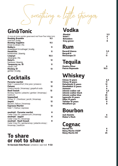Something a little stronger

#### **Gin&Tonic**

| Al onze gin tonics worden geserveerd met Fever-Tree Indian tonic |      |
|------------------------------------------------------------------|------|
| <b>Bombay Bramble</b>                                            | 9.5  |
| rood fruit   fruitig                                             |      |
| <b>Bombay Sapphire</b>                                           | 9.5  |
| limoen & citroen   fris                                          |      |
| <b>Bobby's</b>                                                   | 11   |
| sinaasappel & kruidnagel   kruidig                               |      |
| <b>Hendricks</b>                                                 | 11   |
| komkommer   bloemig                                              |      |
| Loopuyt                                                          | 10.5 |
| citroengras   fris                                               |      |
| Nolet's                                                          | 12   |
| framboos   bloemig                                               |      |
| <b>Tanqueray no. 10</b>                                          | 11   |
| citroen   fris                                                   |      |
| <b>Monkey 47</b>                                                 | 13   |
| gember   kruidig                                                 |      |
|                                                                  |      |

### **Cocktails**

| <b>Pornstar martini</b>                                       | 12  |
|---------------------------------------------------------------|-----|
| Ketel 1   passionfruit   lime juice   prosecco<br>Paloma      | 12  |
| Omelca tequila   limoensap   grapefruit soda                  |     |
| Basil Smash                                                   | 12  |
| Bombay Saphire   pistache   gember   limoensap  <br>basilicum |     |
|                                                               |     |
| <b>Impeached</b>                                              | 12. |
| Chivas 12   Drambuie   perzik   limoensap                     |     |
| Jaquiri                                                       | 12  |
| Bacardi   Italicus   limoensap                                |     |
| <b>Espresso Martini</b>                                       | 12  |
| Ketel 1   Kahlua   espresso                                   |     |
| mocktail - Pornstar martini                                   | 8   |
| Ceder Crisp 0%   passievrucht   limoensap                     |     |
| mocktail - Jaquiri                                            | 8   |
|                                                               |     |
| Ceder Crisp 0%   limoensap                                    |     |
| mocktail - Basil Smash                                        | 8   |
| Ceder Crisp 0%   gembersiroop   pistache siroop               |     |
| limoensap   basilicum                                         |     |

#### **To share or not to share**

St-Germain Elderflower | prosecco | spa rood 9 |32

## **Vodka**

| <b>Absolut</b>    | 5,5 |
|-------------------|-----|
| Ketel 1           | 6   |
| <b>Belvedere</b>  |     |
| <b>Grey goose</b> | 8   |

#### **Rum**

| Bacardi blanca   | 5,5 |
|------------------|-----|
| <b>Bacardi 8</b> |     |
| RonZacapa 23     |     |

## **Tequila**

| <b>Omelca Silver</b>   |      |
|------------------------|------|
| <b>Patron Reposado</b> | 10.5 |

## **Whiskey**

| <b>Chivas 12 years</b>      | 6,5 |
|-----------------------------|-----|
| <b>Chivas 18 years</b>      | 11  |
| <b>Dalwhinnie 15 years</b>  | 12  |
| <b>Glenfiddich 12 years</b> | 9   |
| <b>Jameson</b>              | 6   |
| Johnnie walker red          | 5,5 |
| Johnnie walker black        | 8   |
| Johnnie walker blue         | 25  |
| lagavulin 16 years          | 12  |
| <b>Oban 14 years</b>        | 10  |
| <b>Talisker 10 years</b>    | 9   |
| <b>Woodford rye</b>         | 8   |
|                             |     |

## **Bourbon**

| <b>Jack Daniels</b> |     |
|---------------------|-----|
| <b>Maker's Mark</b> | 7.5 |

# **Cognac**

| <b>Martell VS</b>       |    |
|-------------------------|----|
| <b>Rémy Martin VSOP</b> |    |
| <b>Rémy Martin XO</b>   | 25 |